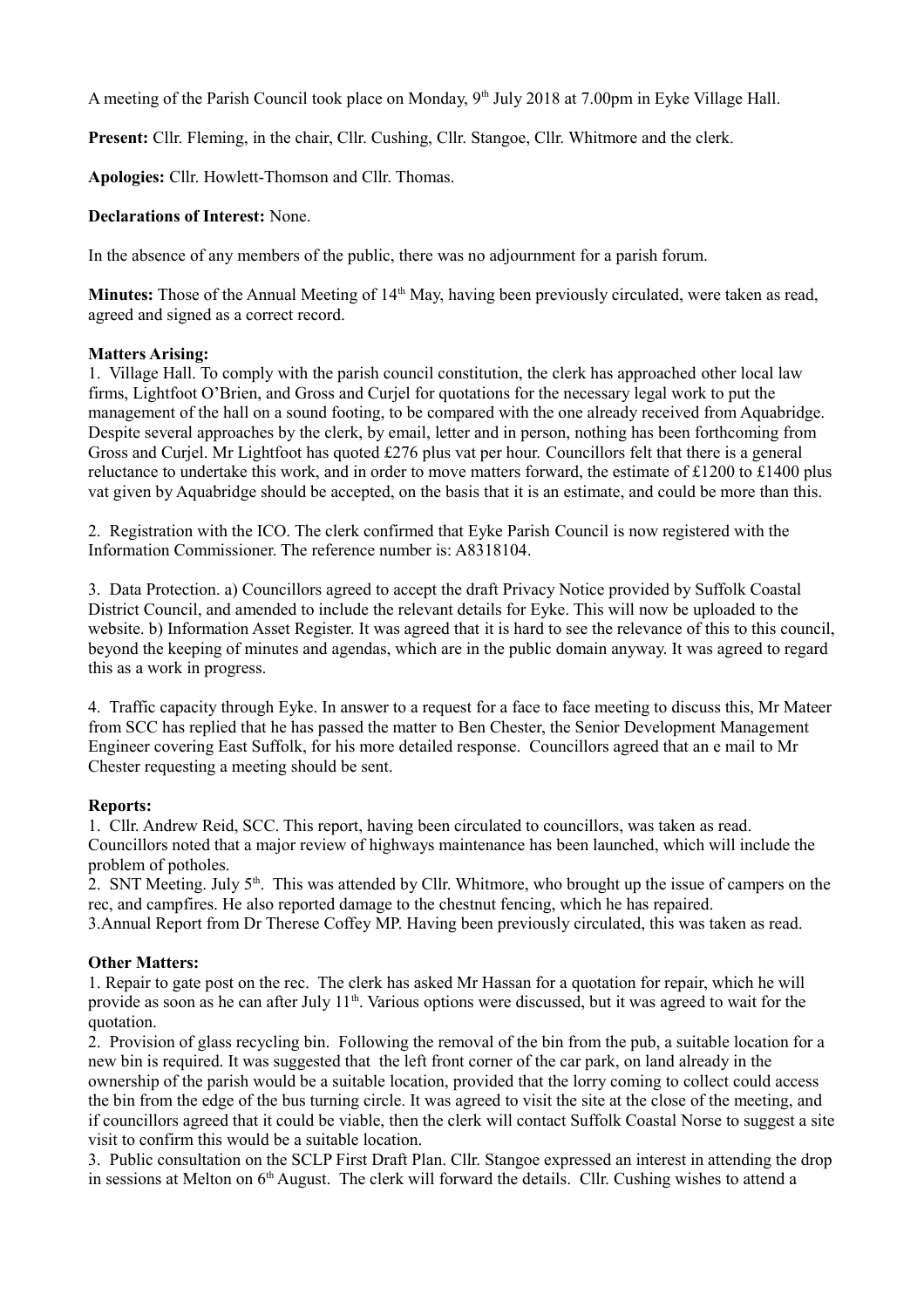A meeting of the Parish Council took place on Monday, 9<sup>th</sup> July 2018 at 7.00pm in Eyke Village Hall.

**Present:** Cllr. Fleming, in the chair, Cllr. Cushing, Cllr. Stangoe, Cllr. Whitmore and the clerk.

**Apologies:** Cllr. Howlett-Thomson and Cllr. Thomas.

### **Declarations of Interest:** None.

In the absence of any members of the public, there was no adjournment for a parish forum.

**Minutes:** Those of the Annual Meeting of 14<sup>th</sup> May, having been previously circulated, were taken as read, agreed and signed as a correct record.

#### **Matters Arising:**

1. Village Hall. To comply with the parish council constitution, the clerk has approached other local law firms, Lightfoot O'Brien, and Gross and Curjel for quotations for the necessary legal work to put the management of the hall on a sound footing, to be compared with the one already received from Aquabridge. Despite several approaches by the clerk, by email, letter and in person, nothing has been forthcoming from Gross and Curjel. Mr Lightfoot has quoted £276 plus vat per hour. Councillors felt that there is a general reluctance to undertake this work, and in order to move matters forward, the estimate of £1200 to £1400 plus vat given by Aquabridge should be accepted, on the basis that it is an estimate, and could be more than this.

2. Registration with the ICO. The clerk confirmed that Eyke Parish Council is now registered with the Information Commissioner. The reference number is: A8318104.

3. Data Protection. a) Councillors agreed to accept the draft Privacy Notice provided by Suffolk Coastal District Council, and amended to include the relevant details for Eyke. This will now be uploaded to the website. b) Information Asset Register. It was agreed that it is hard to see the relevance of this to this council, beyond the keeping of minutes and agendas, which are in the public domain anyway. It was agreed to regard this as a work in progress.

4. Traffic capacity through Eyke. In answer to a request for a face to face meeting to discuss this, Mr Mateer from SCC has replied that he has passed the matter to Ben Chester, the Senior Development Management Engineer covering East Suffolk, for his more detailed response. Councillors agreed that an e mail to Mr Chester requesting a meeting should be sent.

# **Reports:**

1. Cllr. Andrew Reid, SCC. This report, having been circulated to councillors, was taken as read. Councillors noted that a major review of highways maintenance has been launched, which will include the problem of potholes.

2. SNT Meeting. July  $5<sup>th</sup>$ . This was attended by Cllr. Whitmore, who brought up the issue of campers on the rec, and campfires. He also reported damage to the chestnut fencing, which he has repaired. 3.Annual Report from Dr Therese Coffey MP. Having been previously circulated, this was taken as read.

# **Other Matters:**

1. Repair to gate post on the rec. The clerk has asked Mr Hassan for a quotation for repair, which he will provide as soon as he can after July  $11<sup>th</sup>$ . Various options were discussed, but it was agreed to wait for the quotation.

2. Provision of glass recycling bin. Following the removal of the bin from the pub, a suitable location for a new bin is required. It was suggested that the left front corner of the car park, on land already in the ownership of the parish would be a suitable location, provided that the lorry coming to collect could access the bin from the edge of the bus turning circle. It was agreed to visit the site at the close of the meeting, and if councillors agreed that it could be viable, then the clerk will contact Suffolk Coastal Norse to suggest a site visit to confirm this would be a suitable location.

3. Public consultation on the SCLP First Draft Plan. Cllr. Stangoe expressed an interest in attending the drop in sessions at Melton on  $6<sup>th</sup>$  August. The clerk will forward the details. Cllr. Cushing wishes to attend a